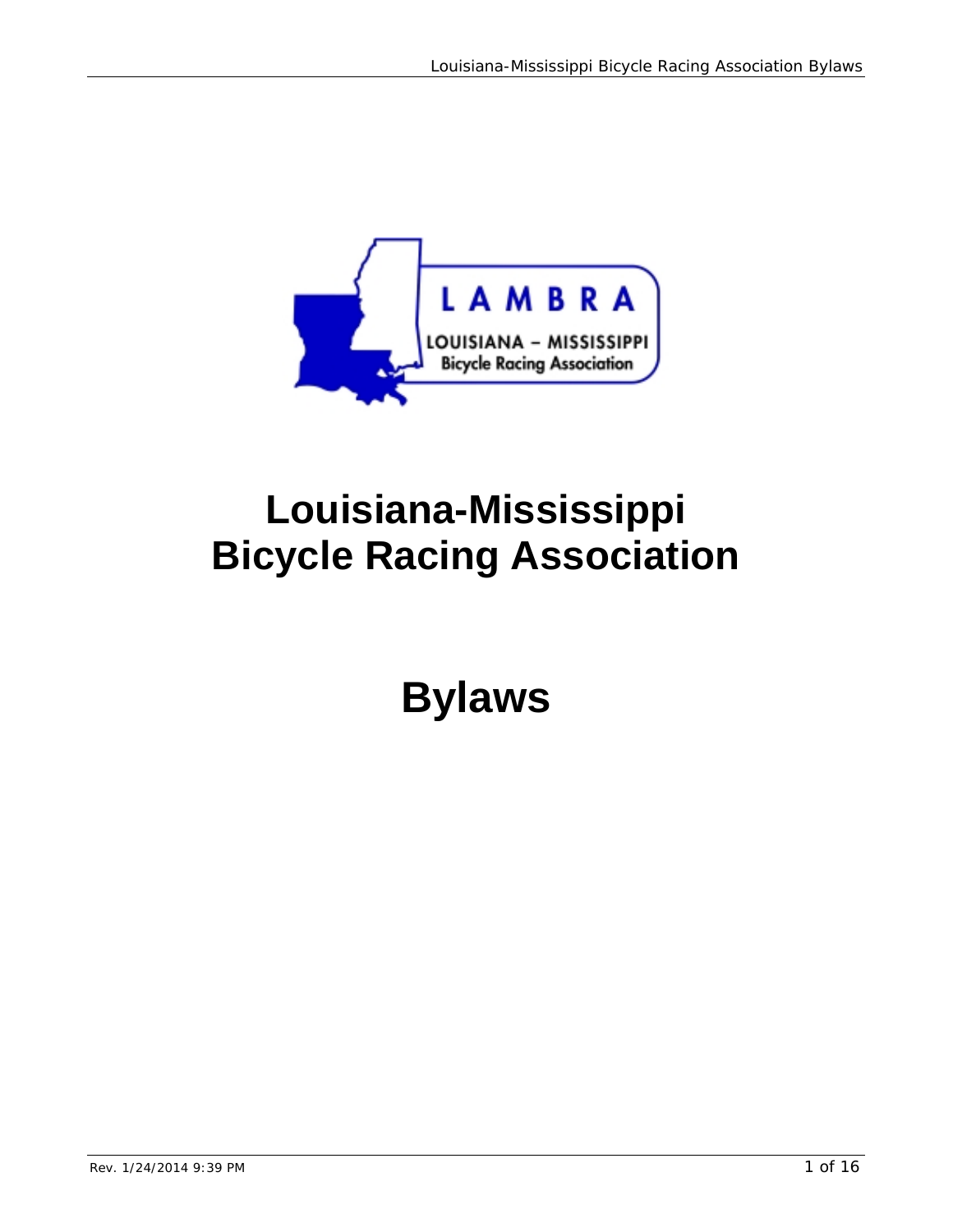

# **Louisiana-Mississippi Bicycle Racing Association**

**Bylaws**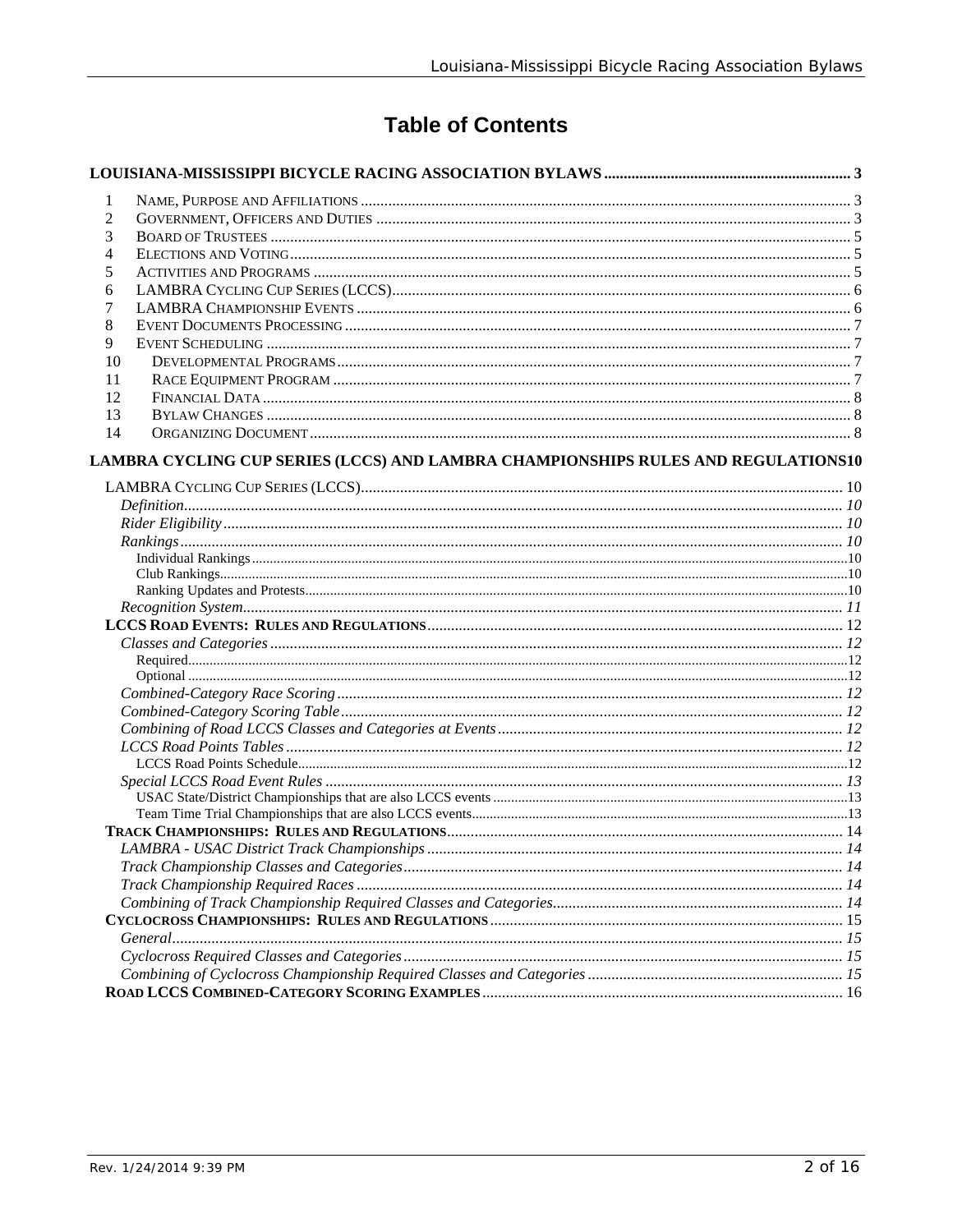# **Table of Contents**

| 1              |                                                                                   |  |
|----------------|-----------------------------------------------------------------------------------|--|
| $\overline{c}$ |                                                                                   |  |
| 3              |                                                                                   |  |
| 4              |                                                                                   |  |
| 5              |                                                                                   |  |
| 6              |                                                                                   |  |
| 7              |                                                                                   |  |
| 8              |                                                                                   |  |
| 9              |                                                                                   |  |
| 10             |                                                                                   |  |
| 11             |                                                                                   |  |
| 12             |                                                                                   |  |
| 13             |                                                                                   |  |
| 14             |                                                                                   |  |
|                | LAMBRA CYCLING CUP SERIES (LCCS) AND LAMBRA CHAMPIONSHIPS RULES AND REGULATIONS10 |  |
|                |                                                                                   |  |
|                |                                                                                   |  |
|                |                                                                                   |  |
|                |                                                                                   |  |
|                |                                                                                   |  |
|                |                                                                                   |  |
|                |                                                                                   |  |
|                |                                                                                   |  |
|                |                                                                                   |  |
|                |                                                                                   |  |
|                |                                                                                   |  |
|                |                                                                                   |  |
|                |                                                                                   |  |
|                |                                                                                   |  |
|                |                                                                                   |  |
|                |                                                                                   |  |
|                |                                                                                   |  |
|                |                                                                                   |  |
|                |                                                                                   |  |
|                |                                                                                   |  |
|                |                                                                                   |  |
|                |                                                                                   |  |
|                |                                                                                   |  |
|                |                                                                                   |  |
|                |                                                                                   |  |
|                |                                                                                   |  |
|                |                                                                                   |  |
|                |                                                                                   |  |
|                |                                                                                   |  |
|                |                                                                                   |  |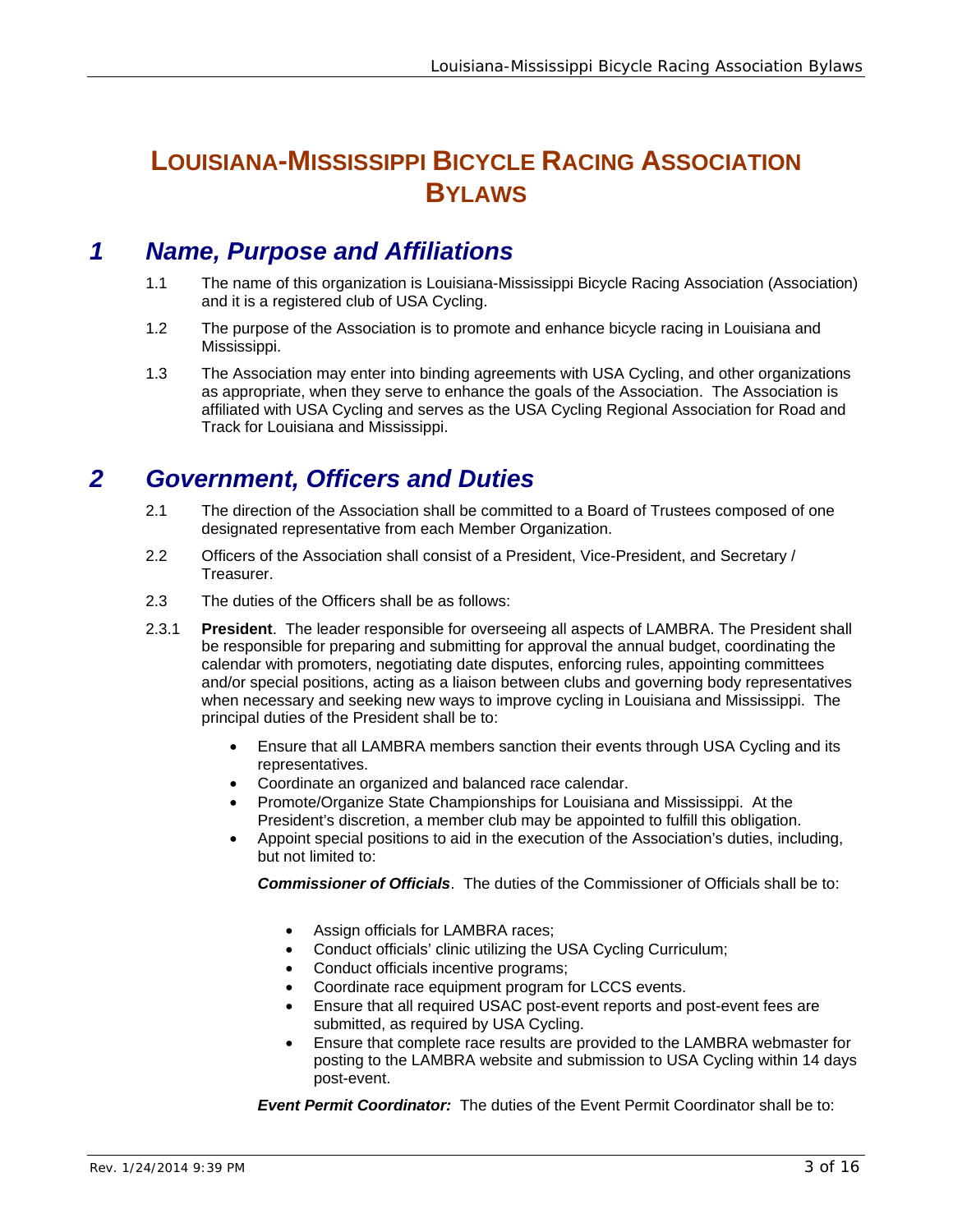# **LOUISIANA-MISSISSIPPI BICYCLE RACING ASSOCIATION BYLAWS**

# *1 Name, Purpose and Affiliations*

- 1.1 The name of this organization is Louisiana-Mississippi Bicycle Racing Association (Association) and it is a registered club of USA Cycling.
- 1.2 The purpose of the Association is to promote and enhance bicycle racing in Louisiana and Mississippi.
- 1.3 The Association may enter into binding agreements with USA Cycling, and other organizations as appropriate, when they serve to enhance the goals of the Association. The Association is affiliated with USA Cycling and serves as the USA Cycling Regional Association for Road and Track for Louisiana and Mississippi.

## *2 Government, Officers and Duties*

- 2.1 The direction of the Association shall be committed to a Board of Trustees composed of one designated representative from each Member Organization.
- 2.2 Officers of the Association shall consist of a President, Vice-President, and Secretary / Treasurer.
- 2.3 The duties of the Officers shall be as follows:
- 2.3.1 **President**. The leader responsible for overseeing all aspects of LAMBRA. The President shall be responsible for preparing and submitting for approval the annual budget, coordinating the calendar with promoters, negotiating date disputes, enforcing rules, appointing committees and/or special positions, acting as a liaison between clubs and governing body representatives when necessary and seeking new ways to improve cycling in Louisiana and Mississippi. The principal duties of the President shall be to:
	- Ensure that all LAMBRA members sanction their events through USA Cycling and its representatives.
	- Coordinate an organized and balanced race calendar.
	- Promote/Organize State Championships for Louisiana and Mississippi. At the President's discretion, a member club may be appointed to fulfill this obligation.
	- Appoint special positions to aid in the execution of the Association's duties, including, but not limited to:

*Commissioner of Officials*. The duties of the Commissioner of Officials shall be to:

- Assign officials for LAMBRA races;
- Conduct officials' clinic utilizing the USA Cycling Curriculum;
- Conduct officials incentive programs;
- Coordinate race equipment program for LCCS events.
- Ensure that all required USAC post-event reports and post-event fees are submitted, as required by USA Cycling.
- Ensure that complete race results are provided to the LAMBRA webmaster for posting to the LAMBRA website and submission to USA Cycling within 14 days post-event.

*Event Permit Coordinator:* The duties of the Event Permit Coordinator shall be to: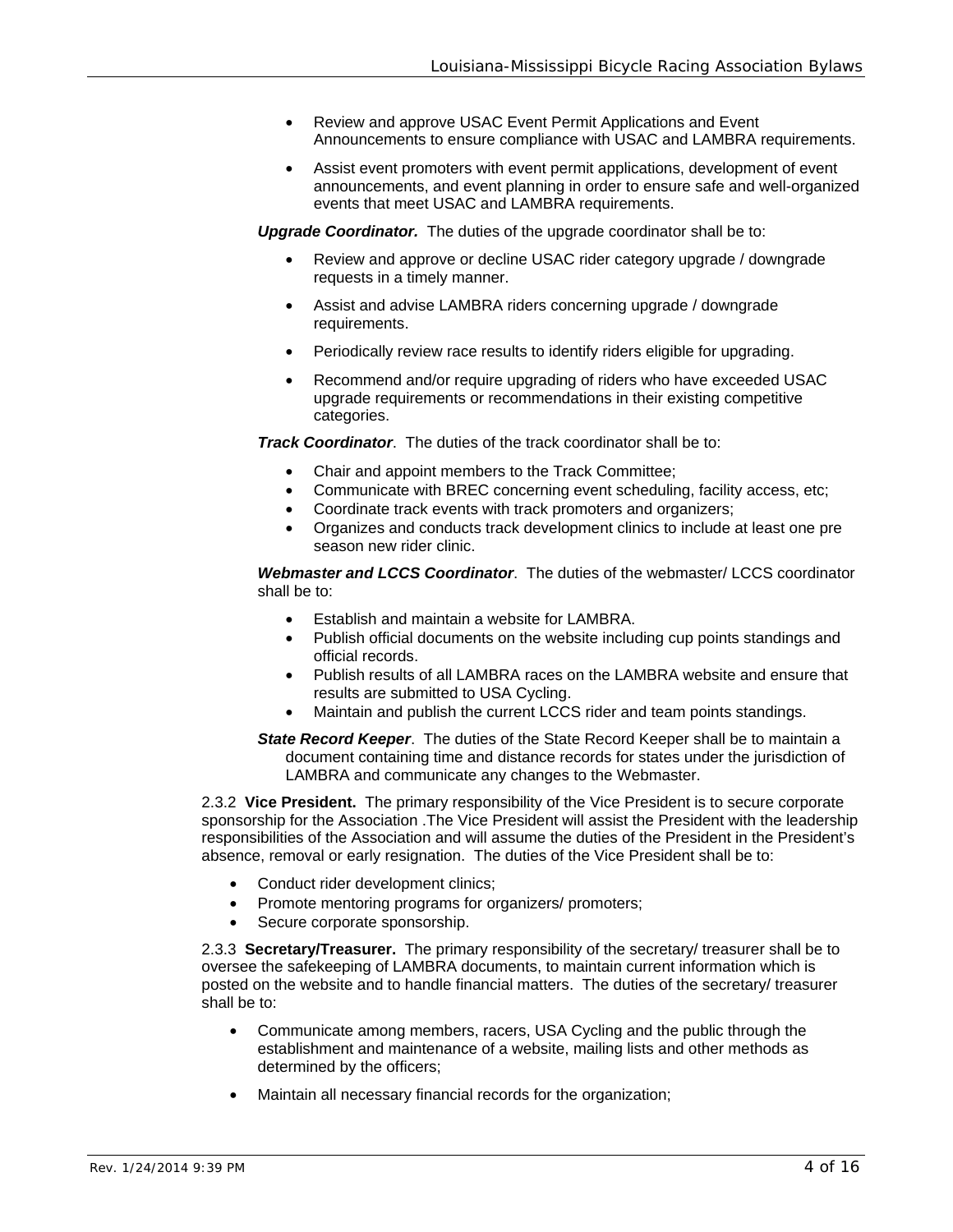- Review and approve USAC Event Permit Applications and Event Announcements to ensure compliance with USAC and LAMBRA requirements.
- Assist event promoters with event permit applications, development of event announcements, and event planning in order to ensure safe and well-organized events that meet USAC and LAMBRA requirements.

*Upgrade Coordinator.* The duties of the upgrade coordinator shall be to:

- Review and approve or decline USAC rider category upgrade / downgrade requests in a timely manner.
- Assist and advise LAMBRA riders concerning upgrade / downgrade requirements.
- Periodically review race results to identify riders eligible for upgrading.
- Recommend and/or require upgrading of riders who have exceeded USAC upgrade requirements or recommendations in their existing competitive categories.

*Track Coordinator*. The duties of the track coordinator shall be to:

- Chair and appoint members to the Track Committee;
- Communicate with BREC concerning event scheduling, facility access, etc;
- Coordinate track events with track promoters and organizers;
- Organizes and conducts track development clinics to include at least one pre season new rider clinic.

*Webmaster and LCCS Coordinator*. The duties of the webmaster/ LCCS coordinator shall be to:

- Establish and maintain a website for LAMBRA.
- Publish official documents on the website including cup points standings and official records.
- Publish results of all LAMBRA races on the LAMBRA website and ensure that results are submitted to USA Cycling.
- Maintain and publish the current LCCS rider and team points standings.
- *State Record Keeper*. The duties of the State Record Keeper shall be to maintain a document containing time and distance records for states under the jurisdiction of LAMBRA and communicate any changes to the Webmaster.

2.3.2 **Vice President.** The primary responsibility of the Vice President is to secure corporate sponsorship for the Association .The Vice President will assist the President with the leadership responsibilities of the Association and will assume the duties of the President in the President's absence, removal or early resignation. The duties of the Vice President shall be to:

- Conduct rider development clinics;
- Promote mentoring programs for organizers/ promoters;
- Secure corporate sponsorship.

2.3.3 **Secretary/Treasurer.** The primary responsibility of the secretary/ treasurer shall be to oversee the safekeeping of LAMBRA documents, to maintain current information which is posted on the website and to handle financial matters. The duties of the secretary/ treasurer shall be to:

- Communicate among members, racers, USA Cycling and the public through the establishment and maintenance of a website, mailing lists and other methods as determined by the officers;
- Maintain all necessary financial records for the organization;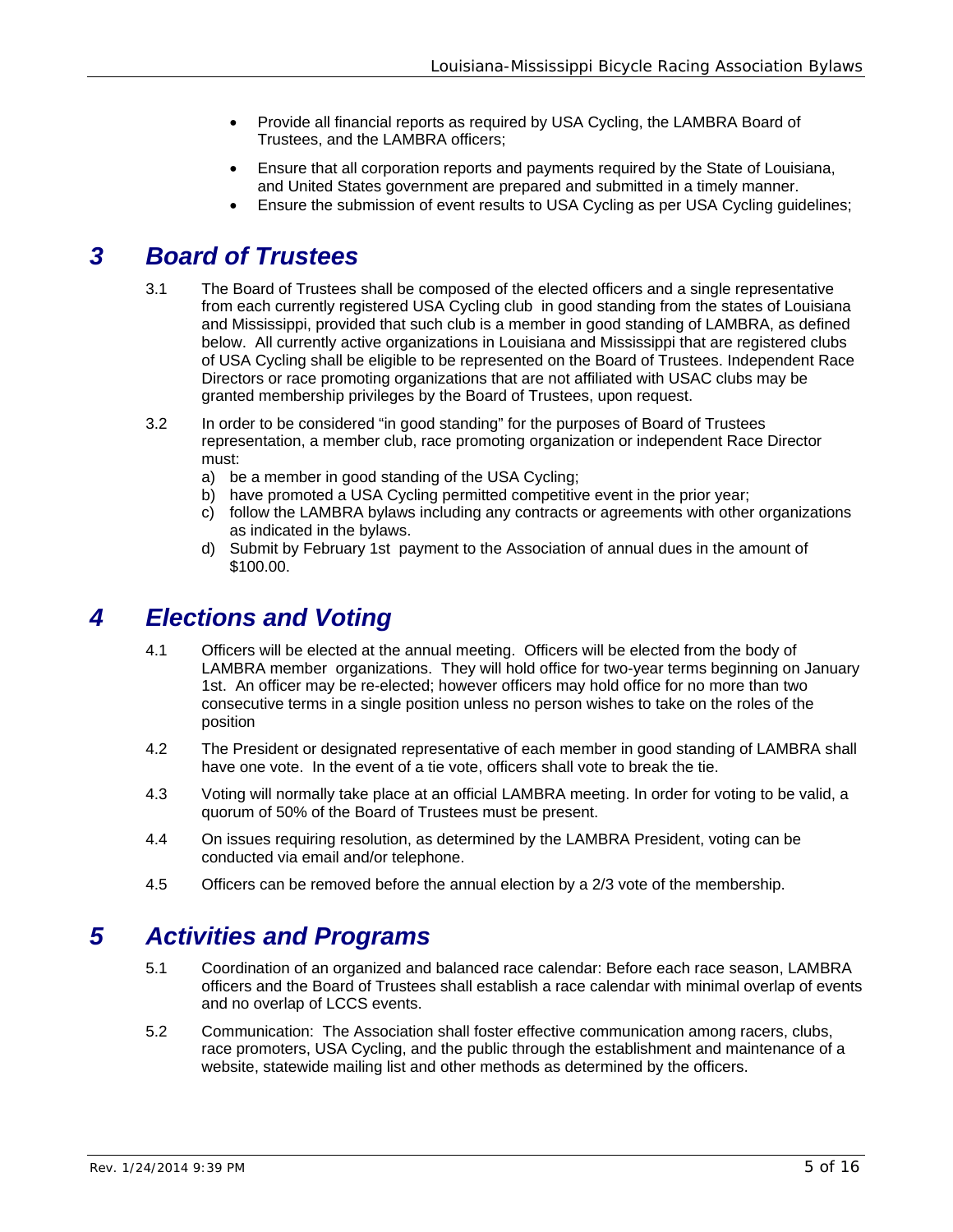- Provide all financial reports as required by USA Cycling, the LAMBRA Board of Trustees, and the LAMBRA officers;
- Ensure that all corporation reports and payments required by the State of Louisiana, and United States government are prepared and submitted in a timely manner.
- Ensure the submission of event results to USA Cycling as per USA Cycling guidelines;

# *3 Board of Trustees*

- 3.1 The Board of Trustees shall be composed of the elected officers and a single representative from each currently registered USA Cycling club in good standing from the states of Louisiana and Mississippi, provided that such club is a member in good standing of LAMBRA, as defined below. All currently active organizations in Louisiana and Mississippi that are registered clubs of USA Cycling shall be eligible to be represented on the Board of Trustees. Independent Race Directors or race promoting organizations that are not affiliated with USAC clubs may be granted membership privileges by the Board of Trustees, upon request.
- 3.2 In order to be considered "in good standing" for the purposes of Board of Trustees representation, a member club, race promoting organization or independent Race Director must:
	- a) be a member in good standing of the USA Cycling;
	- b) have promoted a USA Cycling permitted competitive event in the prior year;
	- c) follow the LAMBRA bylaws including any contracts or agreements with other organizations as indicated in the bylaws.
	- d) Submit by February 1st payment to the Association of annual dues in the amount of \$100.00.

### *4 Elections and Voting*

- 4.1 Officers will be elected at the annual meeting. Officers will be elected from the body of LAMBRA member organizations. They will hold office for two-year terms beginning on January 1st. An officer may be re-elected; however officers may hold office for no more than two consecutive terms in a single position unless no person wishes to take on the roles of the position
- 4.2 The President or designated representative of each member in good standing of LAMBRA shall have one vote. In the event of a tie vote, officers shall vote to break the tie.
- 4.3 Voting will normally take place at an official LAMBRA meeting. In order for voting to be valid, a quorum of 50% of the Board of Trustees must be present.
- 4.4 On issues requiring resolution, as determined by the LAMBRA President, voting can be conducted via email and/or telephone.
- 4.5 Officers can be removed before the annual election by a 2/3 vote of the membership.

### *5 Activities and Programs*

- 5.1 Coordination of an organized and balanced race calendar: Before each race season, LAMBRA officers and the Board of Trustees shall establish a race calendar with minimal overlap of events and no overlap of LCCS events.
- 5.2 Communication: The Association shall foster effective communication among racers, clubs, race promoters, USA Cycling, and the public through the establishment and maintenance of a website, statewide mailing list and other methods as determined by the officers.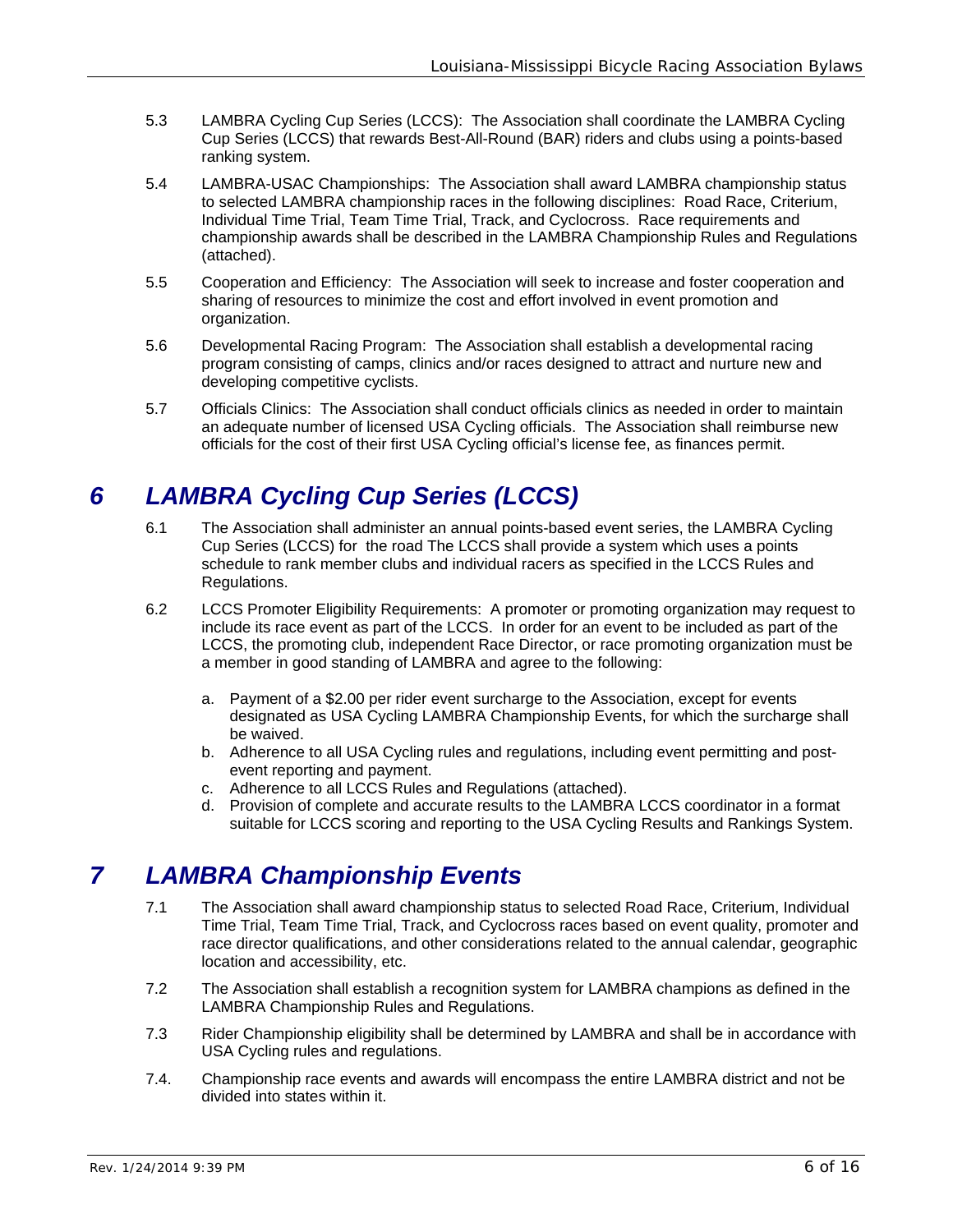- 5.3 LAMBRA Cycling Cup Series (LCCS): The Association shall coordinate the LAMBRA Cycling Cup Series (LCCS) that rewards Best-All-Round (BAR) riders and clubs using a points-based ranking system.
- 5.4 LAMBRA-USAC Championships: The Association shall award LAMBRA championship status to selected LAMBRA championship races in the following disciplines: Road Race, Criterium, Individual Time Trial, Team Time Trial, Track, and Cyclocross. Race requirements and championship awards shall be described in the LAMBRA Championship Rules and Regulations (attached).
- 5.5 Cooperation and Efficiency: The Association will seek to increase and foster cooperation and sharing of resources to minimize the cost and effort involved in event promotion and organization.
- 5.6 Developmental Racing Program: The Association shall establish a developmental racing program consisting of camps, clinics and/or races designed to attract and nurture new and developing competitive cyclists.
- 5.7 Officials Clinics: The Association shall conduct officials clinics as needed in order to maintain an adequate number of licensed USA Cycling officials. The Association shall reimburse new officials for the cost of their first USA Cycling official's license fee, as finances permit.

# *6 LAMBRA Cycling Cup Series (LCCS)*

- 6.1 The Association shall administer an annual points-based event series, the LAMBRA Cycling Cup Series (LCCS) for the road The LCCS shall provide a system which uses a points schedule to rank member clubs and individual racers as specified in the LCCS Rules and Regulations.
- 6.2 LCCS Promoter Eligibility Requirements: A promoter or promoting organization may request to include its race event as part of the LCCS. In order for an event to be included as part of the LCCS, the promoting club, independent Race Director, or race promoting organization must be a member in good standing of LAMBRA and agree to the following:
	- a. Payment of a \$2.00 per rider event surcharge to the Association, except for events designated as USA Cycling LAMBRA Championship Events, for which the surcharge shall be waived.
	- b. Adherence to all USA Cycling rules and regulations, including event permitting and postevent reporting and payment.
	- c. Adherence to all LCCS Rules and Regulations (attached).
	- d. Provision of complete and accurate results to the LAMBRA LCCS coordinator in a format suitable for LCCS scoring and reporting to the USA Cycling Results and Rankings System.

# *7 LAMBRA Championship Events*

- 7.1 The Association shall award championship status to selected Road Race, Criterium, Individual Time Trial, Team Time Trial, Track, and Cyclocross races based on event quality, promoter and race director qualifications, and other considerations related to the annual calendar, geographic location and accessibility, etc.
- 7.2 The Association shall establish a recognition system for LAMBRA champions as defined in the LAMBRA Championship Rules and Regulations.
- 7.3 Rider Championship eligibility shall be determined by LAMBRA and shall be in accordance with USA Cycling rules and regulations.
- 7.4. Championship race events and awards will encompass the entire LAMBRA district and not be divided into states within it.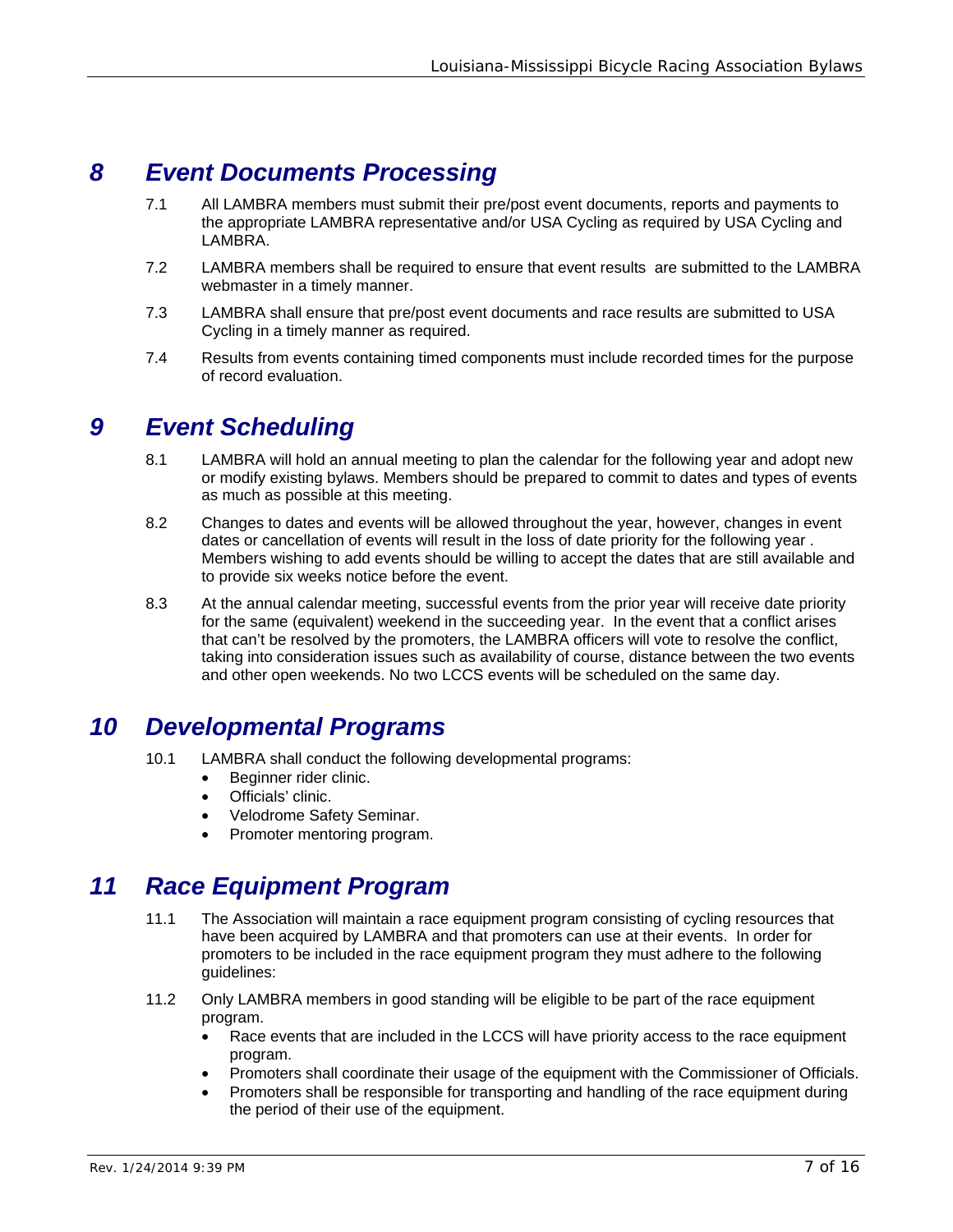# *8 Event Documents Processing*

- 7.1 All LAMBRA members must submit their pre/post event documents, reports and payments to the appropriate LAMBRA representative and/or USA Cycling as required by USA Cycling and LAMBRA.
- 7.2 LAMBRA members shall be required to ensure that event results are submitted to the LAMBRA webmaster in a timely manner.
- 7.3 LAMBRA shall ensure that pre/post event documents and race results are submitted to USA Cycling in a timely manner as required.
- 7.4 Results from events containing timed components must include recorded times for the purpose of record evaluation.

### *9 Event Scheduling*

- 8.1 LAMBRA will hold an annual meeting to plan the calendar for the following year and adopt new or modify existing bylaws. Members should be prepared to commit to dates and types of events as much as possible at this meeting.
- 8.2 Changes to dates and events will be allowed throughout the year, however, changes in event dates or cancellation of events will result in the loss of date priority for the following year . Members wishing to add events should be willing to accept the dates that are still available and to provide six weeks notice before the event.
- 8.3 At the annual calendar meeting, successful events from the prior year will receive date priority for the same (equivalent) weekend in the succeeding year. In the event that a conflict arises that can't be resolved by the promoters, the LAMBRA officers will vote to resolve the conflict, taking into consideration issues such as availability of course, distance between the two events and other open weekends. No two LCCS events will be scheduled on the same day.

### *10 Developmental Programs*

- 10.1 LAMBRA shall conduct the following developmental programs:
	- Beginner rider clinic.
	- Officials' clinic.
	- Velodrome Safety Seminar.
	- Promoter mentoring program.

### *11 Race Equipment Program*

- 11.1 The Association will maintain a race equipment program consisting of cycling resources that have been acquired by LAMBRA and that promoters can use at their events. In order for promoters to be included in the race equipment program they must adhere to the following guidelines:
- 11.2 Only LAMBRA members in good standing will be eligible to be part of the race equipment program.
	- Race events that are included in the LCCS will have priority access to the race equipment program.
	- Promoters shall coordinate their usage of the equipment with the Commissioner of Officials.
	- Promoters shall be responsible for transporting and handling of the race equipment during the period of their use of the equipment.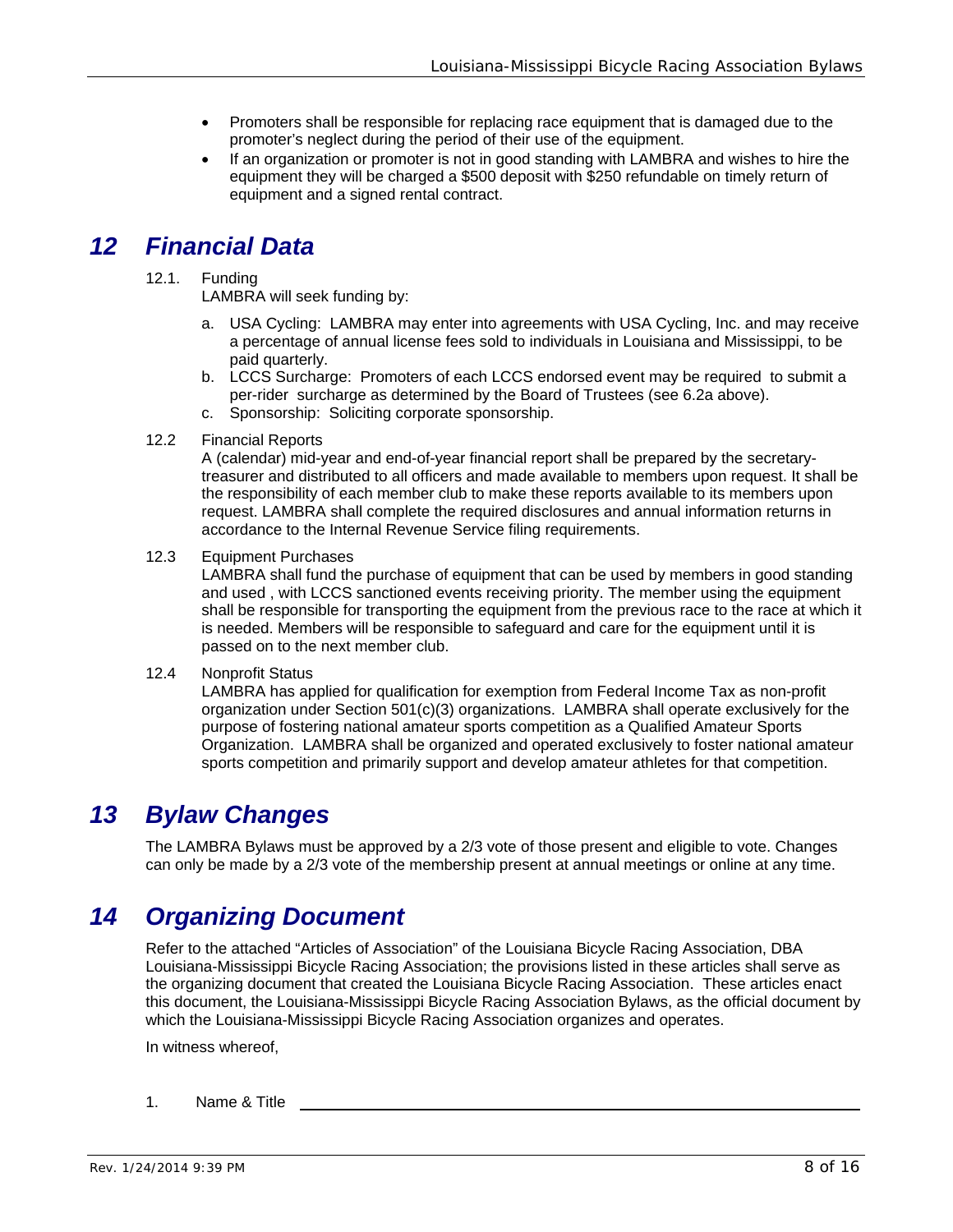- Promoters shall be responsible for replacing race equipment that is damaged due to the promoter's neglect during the period of their use of the equipment.
- If an organization or promoter is not in good standing with LAMBRA and wishes to hire the equipment they will be charged a \$500 deposit with \$250 refundable on timely return of equipment and a signed rental contract.

### *12 Financial Data*

#### 12.1. Funding

LAMBRA will seek funding by:

- a. USA Cycling: LAMBRA may enter into agreements with USA Cycling, Inc. and may receive a percentage of annual license fees sold to individuals in Louisiana and Mississippi, to be paid quarterly.
- b. LCCS Surcharge: Promoters of each LCCS endorsed event may be required to submit a per-rider surcharge as determined by the Board of Trustees (see 6.2a above).
- c. Sponsorship: Soliciting corporate sponsorship.
- 12.2 Financial Reports

A (calendar) mid-year and end-of-year financial report shall be prepared by the secretarytreasurer and distributed to all officers and made available to members upon request. It shall be the responsibility of each member club to make these reports available to its members upon request. LAMBRA shall complete the required disclosures and annual information returns in accordance to the Internal Revenue Service filing requirements.

12.3 Equipment Purchases

LAMBRA shall fund the purchase of equipment that can be used by members in good standing and used , with LCCS sanctioned events receiving priority. The member using the equipment shall be responsible for transporting the equipment from the previous race to the race at which it is needed. Members will be responsible to safeguard and care for the equipment until it is passed on to the next member club.

#### 12.4 Nonprofit Status

LAMBRA has applied for qualification for exemption from Federal Income Tax as non-profit organization under Section 501(c)(3) organizations. LAMBRA shall operate exclusively for the purpose of fostering national amateur sports competition as a Qualified Amateur Sports Organization. LAMBRA shall be organized and operated exclusively to foster national amateur sports competition and primarily support and develop amateur athletes for that competition.

### *13 Bylaw Changes*

The LAMBRA Bylaws must be approved by a 2/3 vote of those present and eligible to vote. Changes can only be made by a 2/3 vote of the membership present at annual meetings or online at any time.

### *14 Organizing Document*

Refer to the attached "Articles of Association" of the Louisiana Bicycle Racing Association, DBA Louisiana-Mississippi Bicycle Racing Association; the provisions listed in these articles shall serve as the organizing document that created the Louisiana Bicycle Racing Association. These articles enact this document, the Louisiana-Mississippi Bicycle Racing Association Bylaws, as the official document by which the Louisiana-Mississippi Bicycle Racing Association organizes and operates.

In witness whereof,

1. Name & Title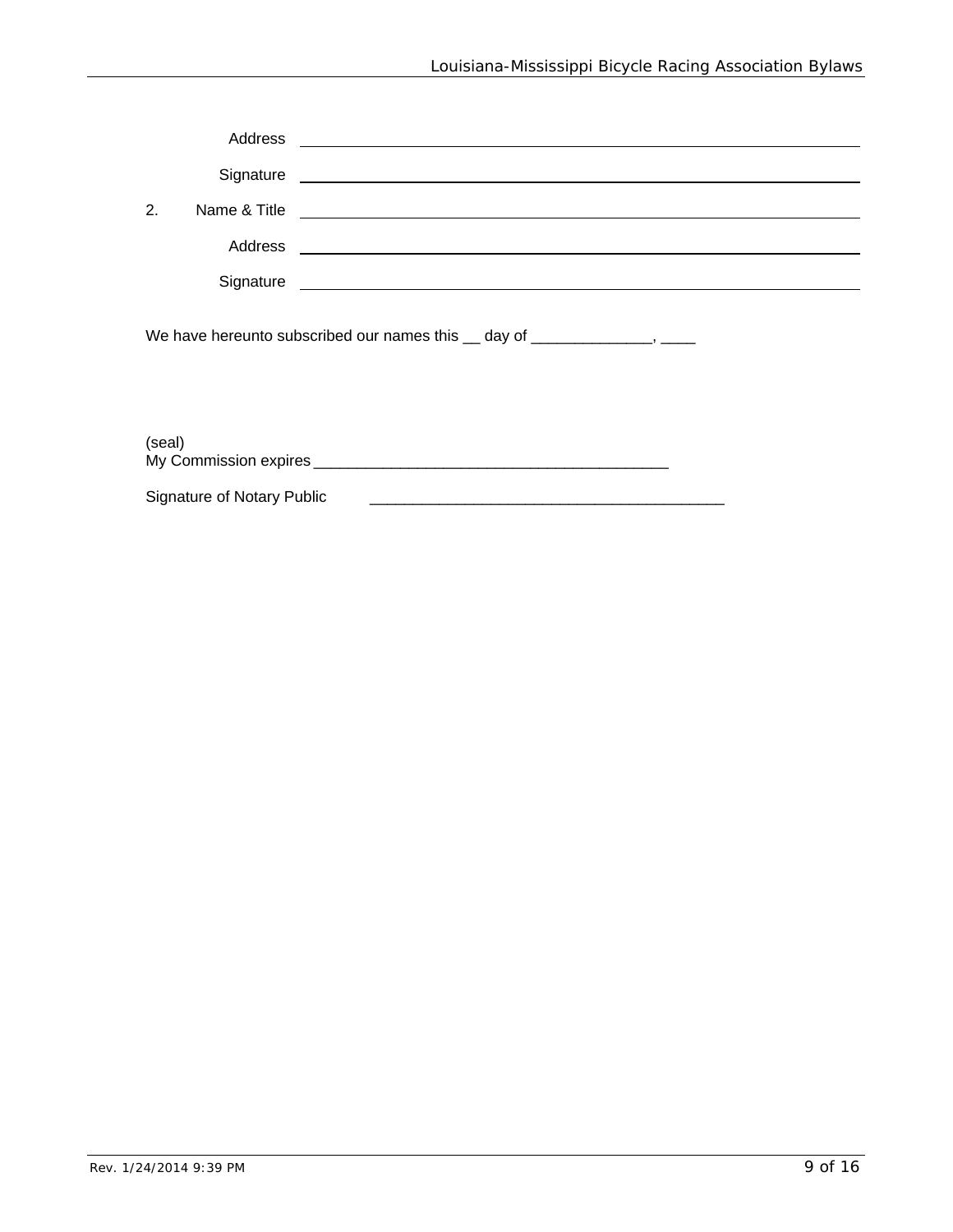|                                                                                  | Address |                                                                                                                                                                                                                                      |  |  |  |
|----------------------------------------------------------------------------------|---------|--------------------------------------------------------------------------------------------------------------------------------------------------------------------------------------------------------------------------------------|--|--|--|
|                                                                                  |         |                                                                                                                                                                                                                                      |  |  |  |
| 2.                                                                               |         | Name & Title <b>contract the contract of the Contract of the Contract of the Contract of the Contract of the Contract of the Contract of the Contract of the Contract of the Contract of the Contract of the Contract of the Con</b> |  |  |  |
|                                                                                  | Address | <u> 1980 - Jan Sterner Sterner, skrivatsk politik (d. 1980)</u>                                                                                                                                                                      |  |  |  |
|                                                                                  |         |                                                                                                                                                                                                                                      |  |  |  |
| We have hereunto subscribed our names this 1 day of 1 Corress Community 2 Corres |         |                                                                                                                                                                                                                                      |  |  |  |

(seal) My Commission expires \_\_\_\_\_\_\_\_\_\_\_\_\_\_\_\_\_\_\_\_\_\_\_\_\_\_\_\_\_\_\_\_\_\_\_\_\_\_\_\_\_ Signature of Notary Public \_\_\_\_\_\_\_\_\_\_\_\_\_\_\_\_\_\_\_\_\_\_\_\_\_\_\_\_\_\_\_\_\_\_\_\_\_\_\_\_\_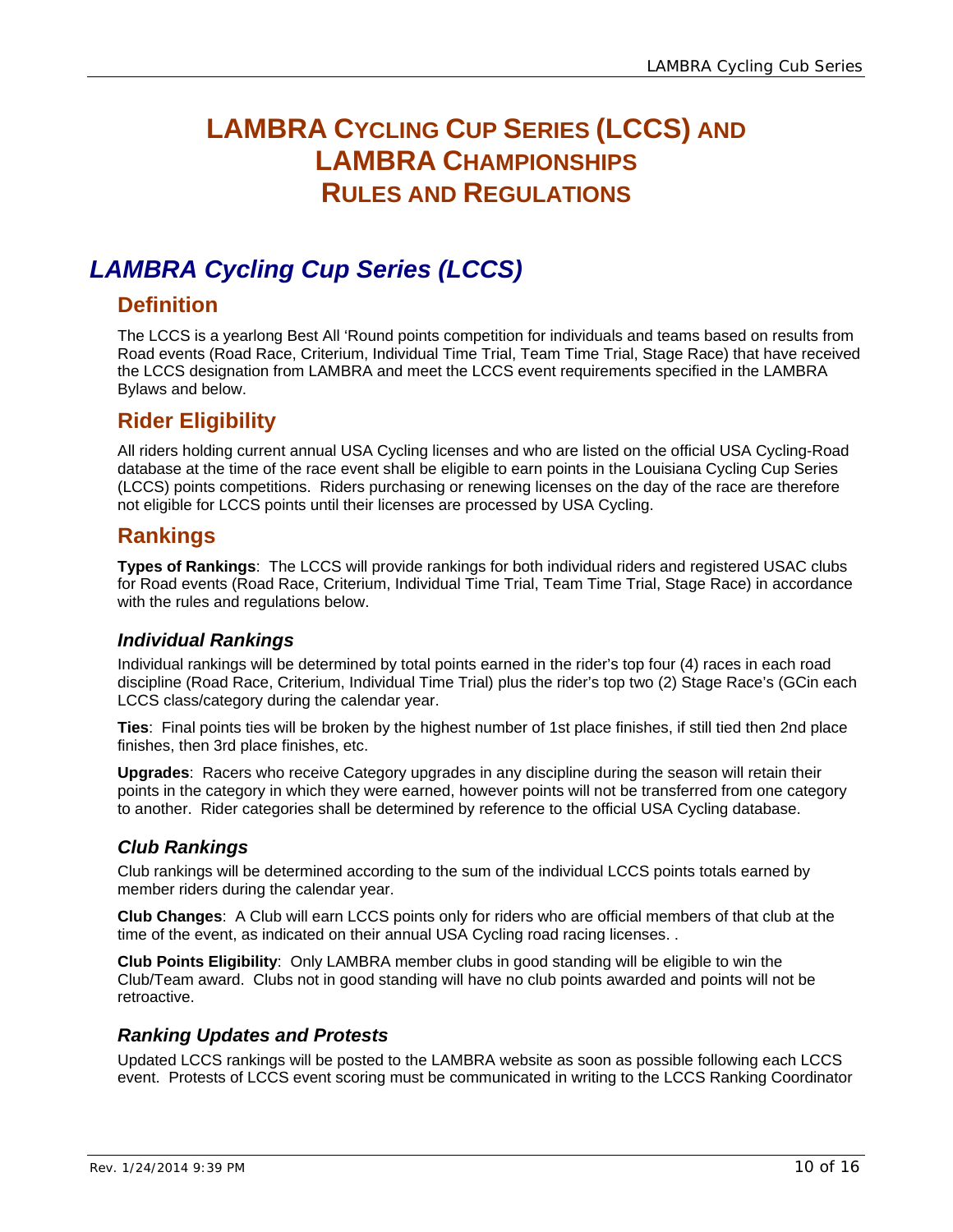# **LAMBRA CYCLING CUP SERIES (LCCS) AND LAMBRA CHAMPIONSHIPS RULES AND REGULATIONS**

# *LAMBRA Cycling Cup Series (LCCS)*

#### **Definition**

The LCCS is a yearlong Best All 'Round points competition for individuals and teams based on results from Road events (Road Race, Criterium, Individual Time Trial, Team Time Trial, Stage Race) that have received the LCCS designation from LAMBRA and meet the LCCS event requirements specified in the LAMBRA Bylaws and below.

### **Rider Eligibility**

All riders holding current annual USA Cycling licenses and who are listed on the official USA Cycling-Road database at the time of the race event shall be eligible to earn points in the Louisiana Cycling Cup Series (LCCS) points competitions. Riders purchasing or renewing licenses on the day of the race are therefore not eligible for LCCS points until their licenses are processed by USA Cycling.

#### **Rankings**

**Types of Rankings**: The LCCS will provide rankings for both individual riders and registered USAC clubs for Road events (Road Race, Criterium, Individual Time Trial, Team Time Trial, Stage Race) in accordance with the rules and regulations below.

#### *Individual Rankings*

Individual rankings will be determined by total points earned in the rider's top four (4) races in each road discipline (Road Race, Criterium, Individual Time Trial) plus the rider's top two (2) Stage Race's (GCin each LCCS class/category during the calendar year.

**Ties**: Final points ties will be broken by the highest number of 1st place finishes, if still tied then 2nd place finishes, then 3rd place finishes, etc.

**Upgrades**: Racers who receive Category upgrades in any discipline during the season will retain their points in the category in which they were earned, however points will not be transferred from one category to another. Rider categories shall be determined by reference to the official USA Cycling database.

#### *Club Rankings*

Club rankings will be determined according to the sum of the individual LCCS points totals earned by member riders during the calendar year.

**Club Changes**: A Club will earn LCCS points only for riders who are official members of that club at the time of the event, as indicated on their annual USA Cycling road racing licenses. .

**Club Points Eligibility**: Only LAMBRA member clubs in good standing will be eligible to win the Club/Team award. Clubs not in good standing will have no club points awarded and points will not be retroactive.

#### *Ranking Updates and Protests*

Updated LCCS rankings will be posted to the LAMBRA website as soon as possible following each LCCS event. Protests of LCCS event scoring must be communicated in writing to the LCCS Ranking Coordinator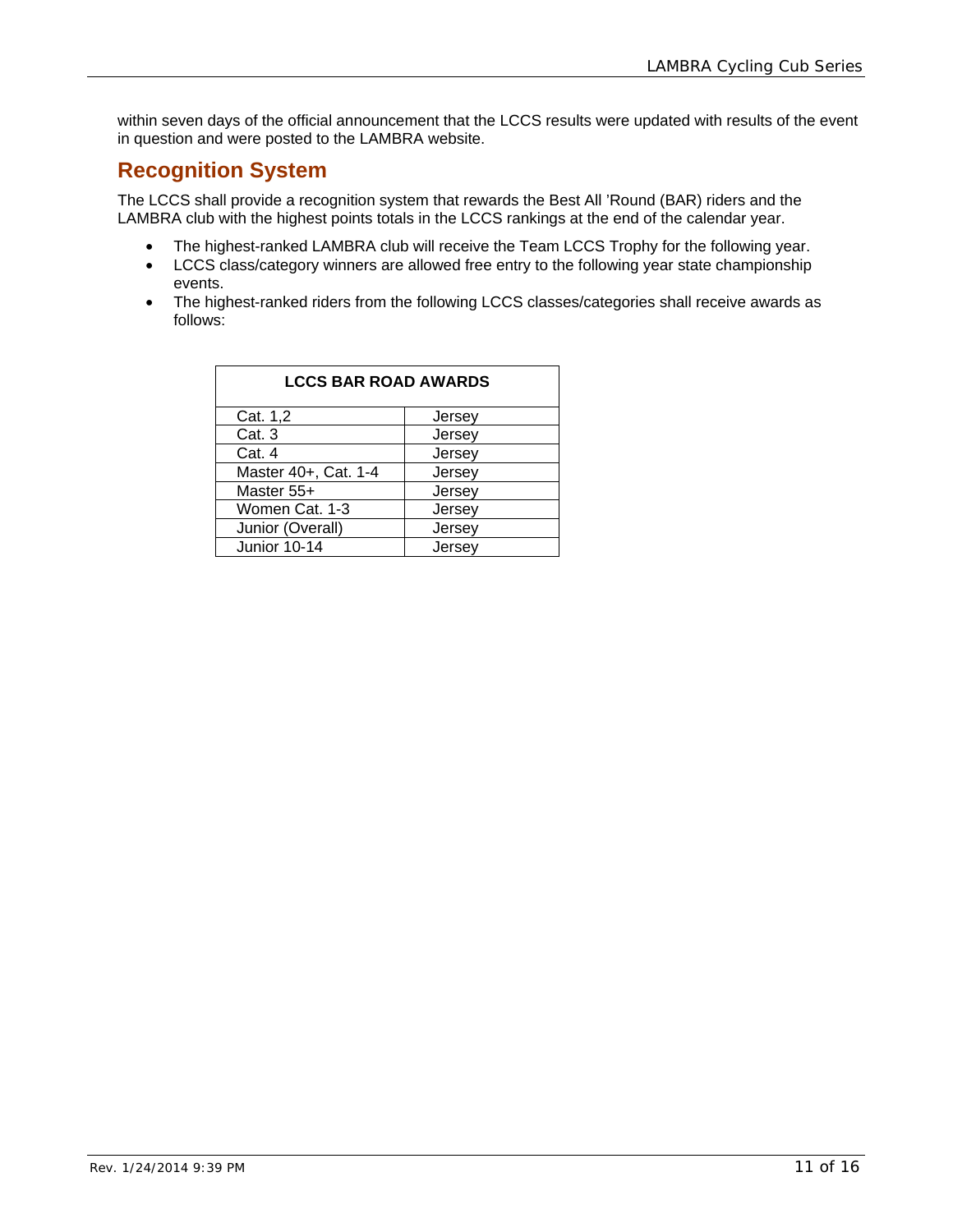within seven days of the official announcement that the LCCS results were updated with results of the event in question and were posted to the LAMBRA website.

#### **Recognition System**

The LCCS shall provide a recognition system that rewards the Best All 'Round (BAR) riders and the LAMBRA club with the highest points totals in the LCCS rankings at the end of the calendar year.

- The highest-ranked LAMBRA club will receive the Team LCCS Trophy for the following year.
- LCCS class/category winners are allowed free entry to the following year state championship events.
- The highest-ranked riders from the following LCCS classes/categories shall receive awards as follows:

| <b>LCCS BAR ROAD AWARDS</b> |        |  |  |  |  |  |
|-----------------------------|--------|--|--|--|--|--|
| Cat. 1,2                    | Jersey |  |  |  |  |  |
| Cat. 3                      | Jersey |  |  |  |  |  |
| Cat. 4                      | Jersey |  |  |  |  |  |
| Master 40+, Cat. 1-4        | Jersey |  |  |  |  |  |
| Master 55+                  | Jersey |  |  |  |  |  |
| Women Cat. 1-3              | Jersey |  |  |  |  |  |
| Junior (Overall)            | Jersey |  |  |  |  |  |
| Junior 10-14                | Jersev |  |  |  |  |  |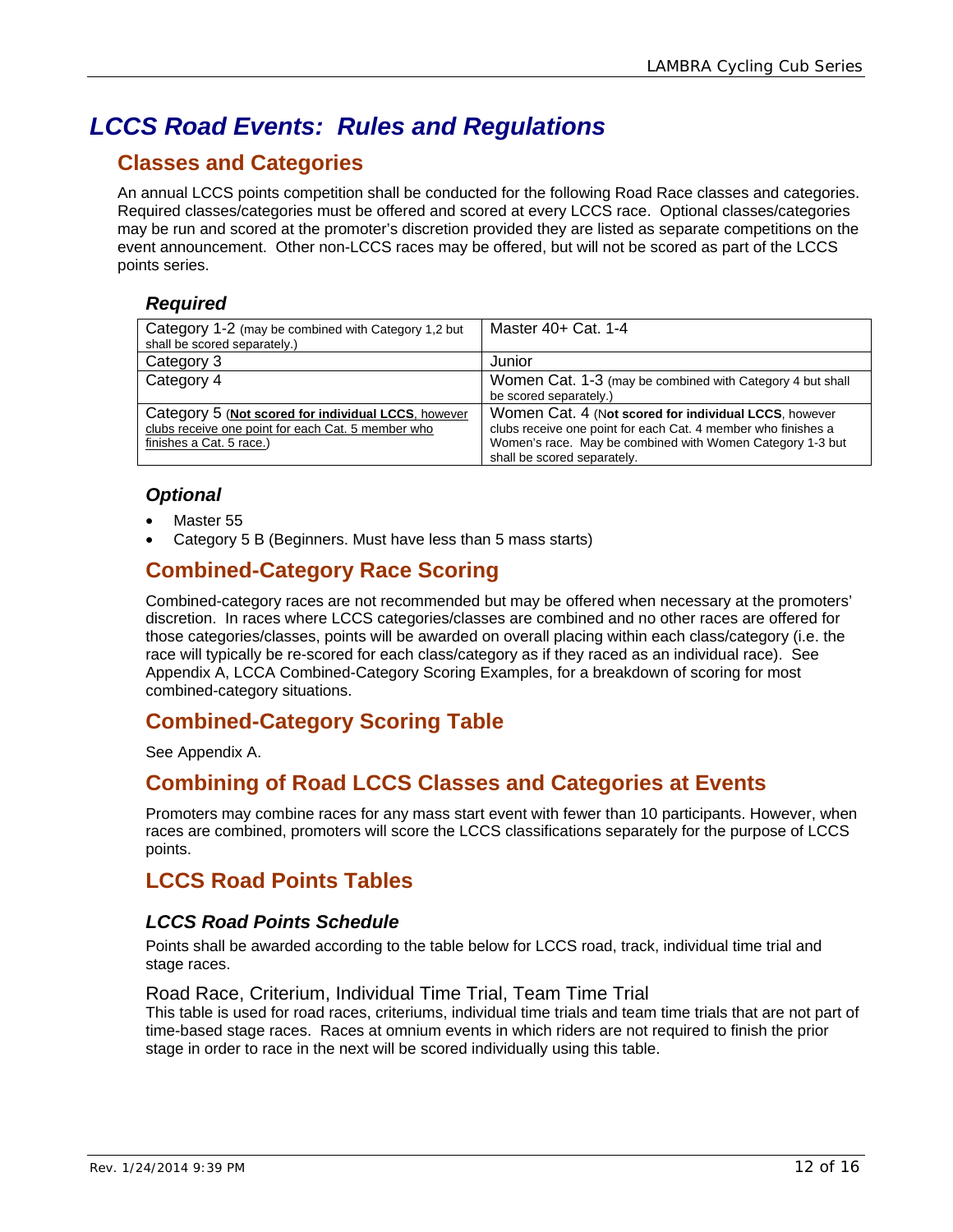# *LCCS Road Events: Rules and Regulations*

### **Classes and Categories**

An annual LCCS points competition shall be conducted for the following Road Race classes and categories. Required classes/categories must be offered and scored at every LCCS race. Optional classes/categories may be run and scored at the promoter's discretion provided they are listed as separate competitions on the event announcement. Other non-LCCS races may be offered, but will not be scored as part of the LCCS points series.

#### *Required*

| Category 1-2 (may be combined with Category 1,2 but<br>shall be scored separately.) | Master 40+ Cat. 1-4                                           |
|-------------------------------------------------------------------------------------|---------------------------------------------------------------|
| Category 3                                                                          | Junior                                                        |
| Category 4                                                                          | Women Cat. 1-3 (may be combined with Category 4 but shall     |
|                                                                                     | be scored separately.)                                        |
| Category 5 (Not scored for individual LCCS, however                                 | Women Cat. 4 (Not scored for individual LCCS, however         |
| clubs receive one point for each Cat. 5 member who                                  | clubs receive one point for each Cat. 4 member who finishes a |
| finishes a Cat. 5 race.)                                                            | Women's race. May be combined with Women Category 1-3 but     |
|                                                                                     | shall be scored separately.                                   |

#### *Optional*

- Master 55
- Category 5 B (Beginners. Must have less than 5 mass starts)

### **Combined-Category Race Scoring**

Combined-category races are not recommended but may be offered when necessary at the promoters' discretion. In races where LCCS categories/classes are combined and no other races are offered for those categories/classes, points will be awarded on overall placing within each class/category (i.e. the race will typically be re-scored for each class/category as if they raced as an individual race). See Appendix A, LCCA Combined-Category Scoring Examples, for a breakdown of scoring for most combined-category situations.

#### **Combined-Category Scoring Table**

See Appendix A.

#### **Combining of Road LCCS Classes and Categories at Events**

Promoters may combine races for any mass start event with fewer than 10 participants. However, when races are combined, promoters will score the LCCS classifications separately for the purpose of LCCS points.

#### **LCCS Road Points Tables**

#### *LCCS Road Points Schedule*

Points shall be awarded according to the table below for LCCS road, track, individual time trial and stage races.

#### Road Race, Criterium, Individual Time Trial, Team Time Trial

This table is used for road races, criteriums, individual time trials and team time trials that are not part of time-based stage races. Races at omnium events in which riders are not required to finish the prior stage in order to race in the next will be scored individually using this table.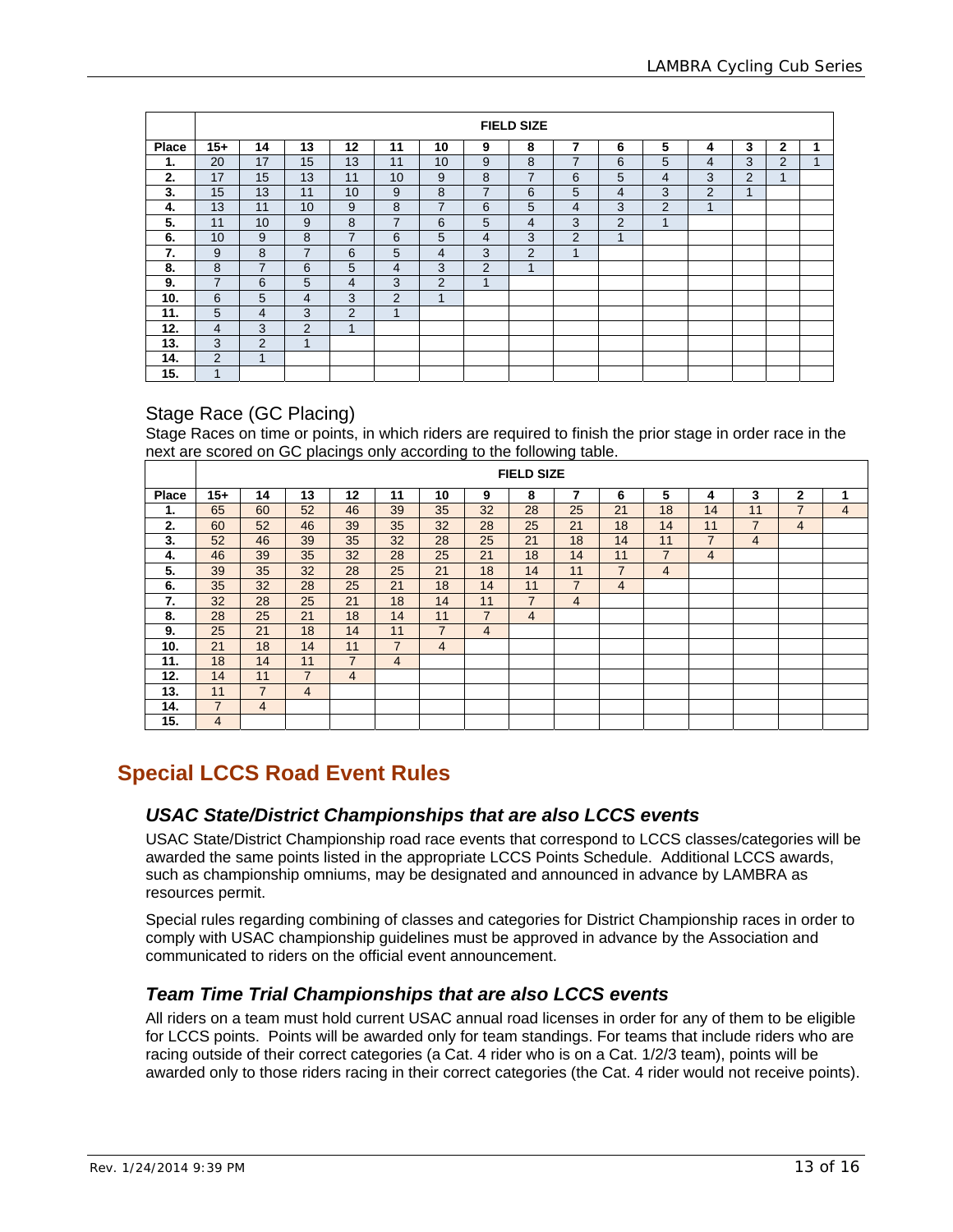|              | <b>FIELD SIZE</b> |                |                |                |                |                |                |                |                |                |                |                         |                |                |   |
|--------------|-------------------|----------------|----------------|----------------|----------------|----------------|----------------|----------------|----------------|----------------|----------------|-------------------------|----------------|----------------|---|
| <b>Place</b> | $15+$             | 14             | 13             | 12             | 11             | 10             | 9              | 8              | 7              | 6              | 5              | 4                       | 3              | $\mathbf{2}$   | 1 |
| 1.           | 20                | 17             | 15             | 13             | 11             | 10             | 9              | 8              | $\overline{7}$ | 6              | 5              | 4                       | 3              | $\overline{2}$ |   |
| 2.           | 17                | 15             | 13             | 11             | 10             | 9              | 8              | 7              | 6              | 5              | 4              | 3                       | $\overline{2}$ | 1              |   |
| 3.           | 15                | 13             | 11             | 10             | 9              | 8              | $\overline{7}$ | 6              | 5              | $\overline{4}$ | 3              | $\mathcal{P}$           | $\mathbf{1}$   |                |   |
| 4.           | 13                | 11             | 10             | 9              | 8              | $\overline{7}$ | 6              | 5              | 4              | 3              | $\overline{2}$ | $\overline{\mathbf{A}}$ |                |                |   |
| 5.           | 11                | 10             | 9              | 8              | 7              | 6              | 5              | $\overline{4}$ | 3              | $\overline{2}$ | 1              |                         |                |                |   |
| 6.           | 10                | 9              | 8              | 7              | 6              | 5              | 4              | 3              | 2              | 1              |                |                         |                |                |   |
| 7.           | 9                 | 8              | $\overline{7}$ | 6              | 5              | 4              | 3              | 2              | $\mathbf{1}$   |                |                |                         |                |                |   |
| 8.           | 8                 | 7              | 6              | 5              | 4              | 3              | $\overline{2}$ | 1              |                |                |                |                         |                |                |   |
| 9.           | $\overline{7}$    | 6              | 5              | 4              | 3              | $\overline{2}$ | 1              |                |                |                |                |                         |                |                |   |
| 10.          | 6                 | 5              | 4              | 3              | 2              | 1              |                |                |                |                |                |                         |                |                |   |
| 11.          | 5                 | $\overline{4}$ | 3              | $\overline{2}$ | $\overline{A}$ |                |                |                |                |                |                |                         |                |                |   |
| 12.          | $\overline{4}$    | 3              | $\overline{2}$ | 1              |                |                |                |                |                |                |                |                         |                |                |   |
| 13.          | 3                 | 2              | 1              |                |                |                |                |                |                |                |                |                         |                |                |   |
| 14.          | 2                 | 4              |                |                |                |                |                |                |                |                |                |                         |                |                |   |
| 15.          | $\overline{A}$    |                |                |                |                |                |                |                |                |                |                |                         |                |                |   |

#### Stage Race (GC Placing)

Stage Races on time or points, in which riders are required to finish the prior stage in order race in the next are scored on GC placings only according to the following table.

|       | <b>FIELD SIZE</b> |                |                |                          |    |                |                |    |                |                |    |                |                |                |   |
|-------|-------------------|----------------|----------------|--------------------------|----|----------------|----------------|----|----------------|----------------|----|----------------|----------------|----------------|---|
| Place | 15+               | 14             | 13             | 12                       | 11 | 10             | 9              | 8  | 7              | 6              | 5  | 4              | 3              | $\mathbf{2}$   | 1 |
| 1.    | 65                | 60             | 52             | 46                       | 39 | 35             | 32             | 28 | 25             | 21             | 18 | 14             | 11             | $\overline{7}$ | 4 |
| 2.    | 60                | 52             | 46             | 39                       | 35 | 32             | 28             | 25 | 21             | 18             | 14 | 11             | $\overline{7}$ | $\overline{4}$ |   |
| 3.    | 52                | 46             | 39             | 35                       | 32 | 28             | 25             | 21 | 18             | 14             | 11 | $\overline{7}$ | 4              |                |   |
| 4.    | 46                | 39             | 35             | 32                       | 28 | 25             | 21             | 18 | 14             | 11             | 7  | 4              |                |                |   |
| 5.    | 39                | 35             | 32             | 28                       | 25 | 21             | 18             | 14 | 11             | $\overline{7}$ | 4  |                |                |                |   |
| 6.    | 35                | 32             | 28             | 25                       | 21 | 18             | 14             | 11 | $\overline{7}$ | $\overline{4}$ |    |                |                |                |   |
| 7.    | 32                | 28             | 25             | 21                       | 18 | 14             | 11             | 7  | 4              |                |    |                |                |                |   |
| 8.    | 28                | 25             | 21             | 18                       | 14 | 11             | $\overline{7}$ | 4  |                |                |    |                |                |                |   |
| 9.    | 25                | 21             | 18             | 14                       | 11 | $\overline{7}$ | $\overline{4}$ |    |                |                |    |                |                |                |   |
| 10.   | 21                | 18             | 14             | 11                       | 7  | $\overline{4}$ |                |    |                |                |    |                |                |                |   |
| 11.   | 18                | 14             | 11             | $\overline{\phantom{a}}$ | 4  |                |                |    |                |                |    |                |                |                |   |
| 12.   | 14                | 11             | $\overline{7}$ | 4                        |    |                |                |    |                |                |    |                |                |                |   |
| 13.   | 11                | $\overline{7}$ | $\overline{4}$ |                          |    |                |                |    |                |                |    |                |                |                |   |
| 14.   | $\overline{7}$    | $\overline{4}$ |                |                          |    |                |                |    |                |                |    |                |                |                |   |
| 15.   | 4                 |                |                |                          |    |                |                |    |                |                |    |                |                |                |   |

#### **Special LCCS Road Event Rules**

#### *USAC State/District Championships that are also LCCS events*

USAC State/District Championship road race events that correspond to LCCS classes/categories will be awarded the same points listed in the appropriate LCCS Points Schedule. Additional LCCS awards, such as championship omniums, may be designated and announced in advance by LAMBRA as resources permit.

Special rules regarding combining of classes and categories for District Championship races in order to comply with USAC championship guidelines must be approved in advance by the Association and communicated to riders on the official event announcement.

#### *Team Time Trial Championships that are also LCCS events*

All riders on a team must hold current USAC annual road licenses in order for any of them to be eligible for LCCS points. Points will be awarded only for team standings. For teams that include riders who are racing outside of their correct categories (a Cat. 4 rider who is on a Cat. 1/2/3 team), points will be awarded only to those riders racing in their correct categories (the Cat. 4 rider would not receive points).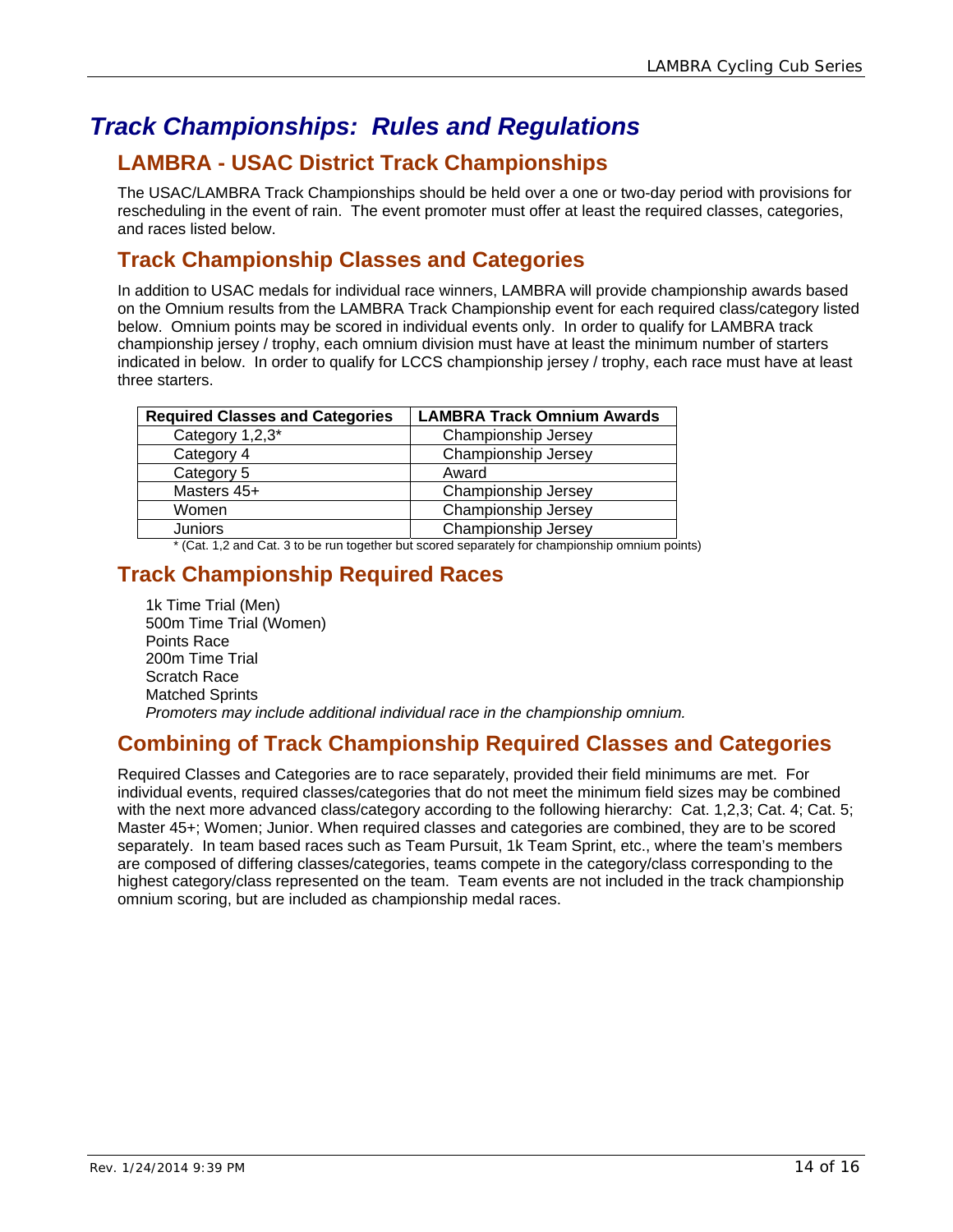# *Track Championships: Rules and Regulations*

### **LAMBRA - USAC District Track Championships**

The USAC/LAMBRA Track Championships should be held over a one or two-day period with provisions for rescheduling in the event of rain. The event promoter must offer at least the required classes, categories, and races listed below.

#### **Track Championship Classes and Categories**

In addition to USAC medals for individual race winners, LAMBRA will provide championship awards based on the Omnium results from the LAMBRA Track Championship event for each required class/category listed below. Omnium points may be scored in individual events only. In order to qualify for LAMBRA track championship jersey / trophy, each omnium division must have at least the minimum number of starters indicated in below. In order to qualify for LCCS championship jersey / trophy, each race must have at least three starters.

| <b>Required Classes and Categories</b> | <b>LAMBRA Track Omnium Awards</b> |
|----------------------------------------|-----------------------------------|
| Category 1,2,3*                        | Championship Jersey               |
| Category 4                             | Championship Jersey               |
| Category 5                             | Award                             |
| Masters 45+                            | Championship Jersey               |
| Women                                  | Championship Jersey               |
| <b>Juniors</b>                         | Championship Jersey               |

\* (Cat. 1,2 and Cat. 3 to be run together but scored separately for championship omnium points)

### **Track Championship Required Races**

1k Time Trial (Men) 500m Time Trial (Women) Points Race 200m Time Trial Scratch Race Matched Sprints *Promoters may include additional individual race in the championship omnium.* 

#### **Combining of Track Championship Required Classes and Categories**

Required Classes and Categories are to race separately, provided their field minimums are met. For individual events, required classes/categories that do not meet the minimum field sizes may be combined with the next more advanced class/category according to the following hierarchy: Cat. 1,2,3; Cat. 4; Cat. 5; Master 45+; Women; Junior. When required classes and categories are combined, they are to be scored separately. In team based races such as Team Pursuit, 1k Team Sprint, etc., where the team's members are composed of differing classes/categories, teams compete in the category/class corresponding to the highest category/class represented on the team. Team events are not included in the track championship omnium scoring, but are included as championship medal races.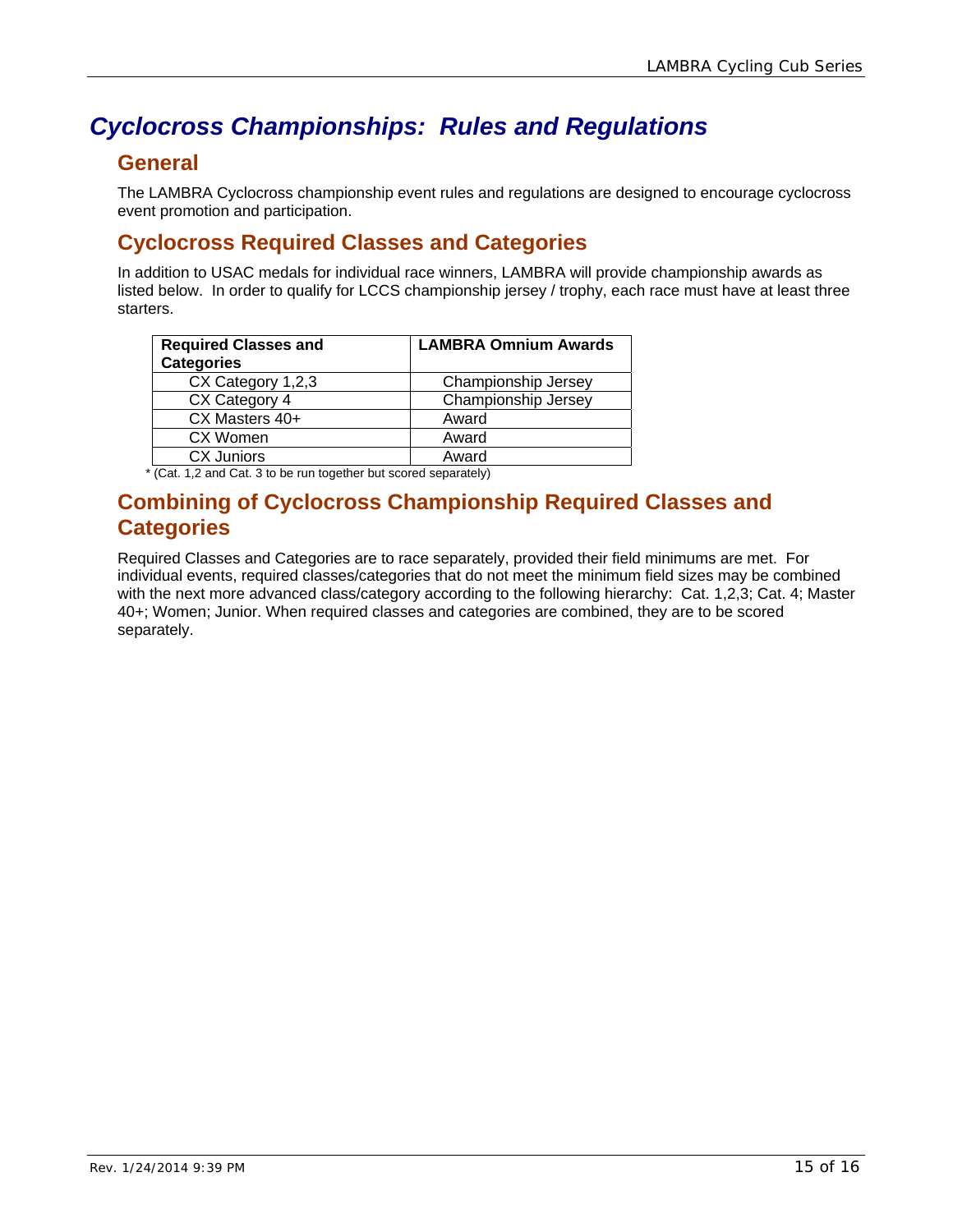# *Cyclocross Championships: Rules and Regulations*

#### **General**

The LAMBRA Cyclocross championship event rules and regulations are designed to encourage cyclocross event promotion and participation.

#### **Cyclocross Required Classes and Categories**

In addition to USAC medals for individual race winners, LAMBRA will provide championship awards as listed below. In order to qualify for LCCS championship jersey / trophy, each race must have at least three starters.

| <b>Required Classes and</b><br><b>Categories</b> | <b>LAMBRA Omnium Awards</b> |
|--------------------------------------------------|-----------------------------|
| CX Category 1,2,3                                | Championship Jersey         |
| CX Category 4                                    | Championship Jersey         |
| CX Masters 40+                                   | Award                       |
| CX Women                                         | Award                       |
| <b>CX Juniors</b>                                | Award                       |

\* (Cat. 1,2 and Cat. 3 to be run together but scored separately)

#### **Combining of Cyclocross Championship Required Classes and Categories**

Required Classes and Categories are to race separately, provided their field minimums are met. For individual events, required classes/categories that do not meet the minimum field sizes may be combined with the next more advanced class/category according to the following hierarchy: Cat. 1,2,3; Cat. 4; Master 40+; Women; Junior. When required classes and categories are combined, they are to be scored separately.